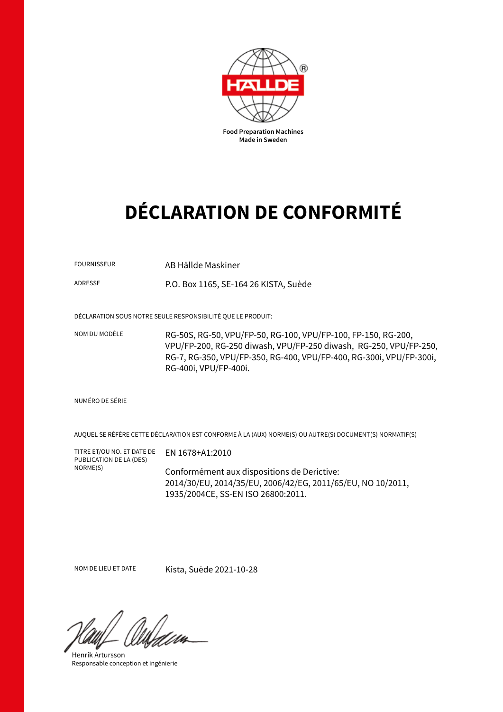

# **DÉCLARATION DE CONFORMITÉ**

FOURNISSEUR AB Hällde Maskiner

ADRESSE P.O. Box 1165, SE-164 26 KISTA, Suède

DÉCLARATION SOUS NOTRE SEULE RESPONSIBILITÉ QUE LE PRODUIT:

NOM DU MODÈLE RG-50S, RG-50, VPU/FP-50, RG-100, VPU/FP-100, FP-150, RG-200, VPU/FP-200, RG-250 diwash, VPU/FP-250 diwash, RG-250, VPU/FP-250, RG-7, RG-350, VPU/FP-350, RG-400, VPU/FP-400, RG-300i, VPU/FP-300i, RG-400i, VPU/FP-400i.

#### NUMÉRO DE SÉRIE

AUQUEL SE RÉFÈRE CETTE DÉCLARATION EST CONFORME À LA (AUX) NORME(S) OU AUTRE(S) DOCUMENT(S) NORMATIF(S)

TITRE ET/OU NO. ET DATE DE PUBLICATION DE LA (DES) NORME(S)

Conformément aux dispositions de Derictive: 2014/30/EU, 2014/35/EU, 2006/42/EG, 2011/65/EU, NO 10/2011, 1935/2004CE, SS-EN ISO 26800:2011.

NOM DE LIEU ET DATE Kista, Suède 2021-10-28

EN 1678+A1:2010

Henrik Artursson Responsable conception et ingénierie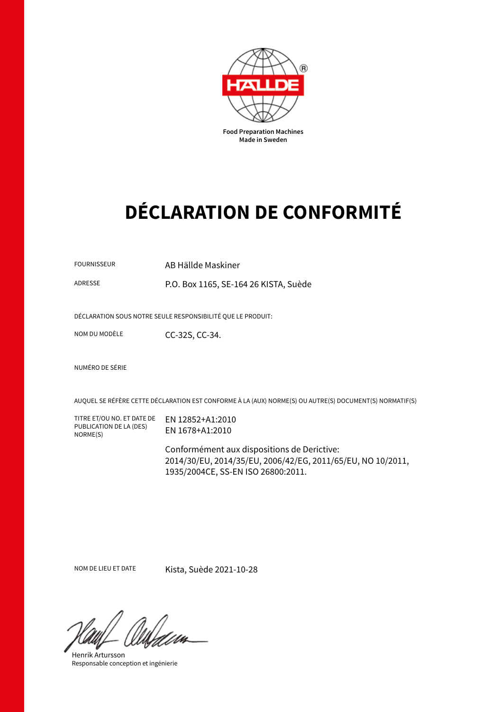

# **DÉCLARATION DE CONFORMITÉ**

FOURNISSEUR AB Hällde Maskiner

ADRESSE P.O. Box 1165, SE-164 26 KISTA, Suède

DÉCLARATION SOUS NOTRE SEULE RESPONSIBILITÉ QUE LE PRODUIT:

NOM DU MODÈLE CC-32S, CC-34.

NUMÉRO DE SÉRIE

AUQUEL SE RÉFÈRE CETTE DÉCLARATION EST CONFORME À LA (AUX) NORME(S) OU AUTRE(S) DOCUMENT(S) NORMATIF(S)

TITRE ET/OU NO. ET DATE DE PUBLICATION DE LA (DES) NORME(S)

EN 12852+A1:2010 EN 1678+A1:2010

Conformément aux dispositions de Derictive: 2014/30/EU, 2014/35/EU, 2006/42/EG, 2011/65/EU, NO 10/2011, 1935/2004CE, SS-EN ISO 26800:2011.

NOM DE LIEU ET DATE Kista, Suède 2021-10-28

Henrik Artursson Responsable conception et ingénierie